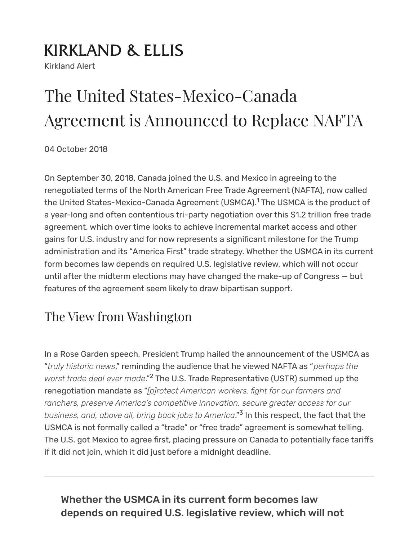# **KIRKLAND & ELLIS**

Kirkland Alert

# The United States-Mexico-Canada Agreement is Announced to Replace NAFTA

04 October 2018

<span id="page-0-0"></span>On September 30, 2018, Canada joined the U.S. and Mexico in agreeing to the renegotiated terms of the North American Free Trade Agreement (NAFTA), now called the United [States-Mexico-Canada](https://ustr.gov/trade-agreements/free-trade-agreements/united-states-mexico-canada-agreement) Agreement (USMCA).<sup>[1](#page-4-0)</sup> The USMCA is the product of a year-long and often contentious tri-party negotiation over this \$1.2 trillion free trade agreement, which over time looks to achieve incremental market access and other gains for U.S. industry and for now represents a significant milestone for the Trump administration and its "[America](https://www.kirkland.com/publications/kirkland-alert/2017/04/trump-administration-sets-america-first-trade-agen) First" trade strategy. Whether the USMCA in its current form becomes law depends on required U.S. legislative review, which will not occur until after the midterm elections may have changed the make-up of Congress — but features of the agreement seem likely to draw bipartisan support.

# The View from Washington

<span id="page-0-1"></span>In a Rose Garden speech, President Trump hailed the announcement of the USMCA as "*truly historic news*," reminding the audience that he viewed NAFTA as "*perhaps the worst trade deal ever made*." The U.S. Trade Representative (USTR) summed up the [2](#page-4-1) renegotiation mandate as "*[p]rotect American workers, ght for our farmers and ranchers, preserve America's competitive innovation, secure greater access for our business, and, above all, bring back jobs to America*." In this respect, the fact that the [3](#page-4-2)USMCA is not formally called a "trade" or "free trade" agreement is somewhat telling. The U.S. got Mexico to agree first, placing pressure on Canada to potentially face tariffs if it did not join, which it did just before a midnight deadline.

### <span id="page-0-2"></span>Whether the USMCA in its current form becomes law depends on required U.S. legislative review, which will not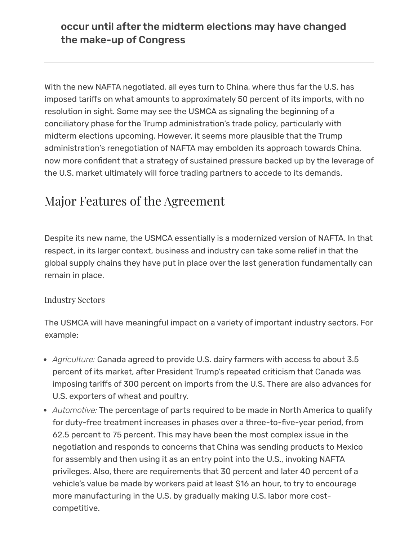occur until after the midterm elections may have changed the make-up of Congress

With the new NAFTA negotiated, all eyes turn to China, where thus far the U.S. has imposed tariffs on what amounts to approximately 50 percent of its imports, with no resolution in sight. Some may see the USMCA as signaling the beginning of a conciliatory phase for the Trump administration's trade policy, particularly with midterm elections upcoming. However, it seems more plausible that the Trump administration's renegotiation of NAFTA may embolden its approach towards China, now more confident that a strategy of sustained pressure backed up by the leverage of the U.S. market ultimately will force trading partners to accede to its demands.

## Major Features of the Agreement

Despite its new name, the USMCA essentially is a modernized version of NAFTA. In that respect, in its larger context, business and industry can take some relief in that the global supply chains they have put in place over the last generation fundamentally can remain in place.

#### Industry Sectors

The USMCA will have meaningful impact on a variety of important industry sectors. For example:

- *Agriculture:* Canada agreed to provide U.S. dairy farmers with access to about 3.5 percent of its market, after President Trump's repeated criticism that Canada was imposing tariffs of 300 percent on imports from the U.S. There are also advances for U.S. exporters of wheat and poultry.
- *Automotive:* The percentage of parts required to be made in North America to qualify for duty-free treatment increases in phases over a three-to-five-year period, from 62.5 percent to 75 percent. This may have been the most complex issue in the negotiation and responds to concerns that China was sending products to Mexico for assembly and then using it as an entry point into the U.S., invoking NAFTA privileges. Also, there are requirements that 30 percent and later 40 percent of a vehicle's value be made by workers paid at least \$16 an hour, to try to encourage more manufacturing in the U.S. by gradually making U.S. labor more costcompetitive.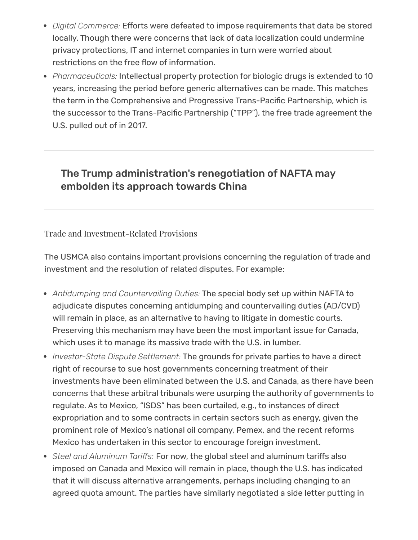- Digital Commerce: Efforts were defeated to impose requirements that data be stored locally. Though there were concerns that lack of data localization could undermine privacy protections, IT and internet companies in turn were worried about restrictions on the free flow of information.
- *Pharmaceuticals:* Intellectual property protection for biologic drugs is extended to 10 years, increasing the period before generic alternatives can be made. This matches the term in the Comprehensive and Progressive Trans-Pacific Partnership, which is the successor to the Trans-Pacific Partnership ("TPP"), the free trade agreement the U.S. pulled out of in 2017.

### The Trump administration's renegotiation of NAFTA may embolden its approach towards China

#### Trade and Investment-Related Provisions

The USMCA also contains important provisions concerning the regulation of trade and investment and the resolution of related disputes. For example:

- *Antidumping and Countervailing Duties:* The special body set up within NAFTA to adjudicate disputes concerning antidumping and countervailing duties (AD/CVD) will remain in place, as an alternative to having to litigate in domestic courts. Preserving this mechanism may have been the most important issue for Canada, which uses it to manage its massive trade with the U.S. in lumber.
- *Investor-State Dispute Settlement:* The grounds for private parties to have a direct right of recourse to sue host governments concerning treatment of their investments have been eliminated between the U.S. and Canada, as there have been concerns that these arbitral tribunals were usurping the authority of governments to regulate. As to Mexico, "ISDS" has been curtailed, e.g., to instances of direct expropriation and to some contracts in certain sectors such as energy, given the prominent role of Mexico's national oil company, Pemex, and the recent reforms Mexico has undertaken in this sector to encourage foreign investment.
- Steel and Aluminum *Tariffs:* For now, the global steel and aluminum tariffs also imposed on Canada and Mexico will remain in place, though the U.S. has indicated that it will discuss alternative arrangements, perhaps including changing to an agreed quota amount. The parties have similarly negotiated a side letter putting in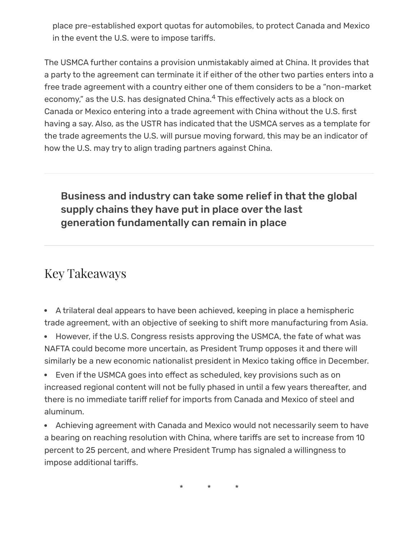place pre-established export quotas for automobiles, to protect Canada and Mexico in the event the U.S. were to impose tariffs.

<span id="page-3-0"></span>The USMCA further contains a provision unmistakably aimed at China. It provides that a party to the agreement can terminate it if either of the other two parties enters into a free trade agreement with a country either one of them considers to be a "non-market economy," as the U.S. has designated China.<sup>[4](#page-4-3)</sup> This effectively acts as a block on Canada or Mexico entering into a trade agreement with China without the U.S. first having a say. Also, as the USTR has indicated that the USMCA serves as a template for the trade agreements the U.S. will pursue moving forward, this may be an indicator of how the U.S. may try to align trading partners against China.

## Business and industry can take some relief in that the global supply chains they have put in place over the last generation fundamentally can remain in place

## Key Takeaways

A trilateral deal appears to have been achieved, keeping in place a hemispheric trade agreement, with an objective of seeking to shift more manufacturing from Asia.

• However, if the U.S. Congress resists approving the USMCA, the fate of what was NAFTA could become more uncertain, as President Trump opposes it and there will similarly be a new economic nationalist president in Mexico taking office in December.

• Even if the USMCA goes into effect as scheduled, key provisions such as on increased regional content will not be fully phased in until a few years thereafter, and there is no immediate tariff relief for imports from Canada and Mexico of steel and aluminum.

Achieving agreement with Canada and Mexico would not necessarily seem to have a bearing on reaching resolution with China, where tariffs are set to increase from 10 percent to 25 percent, and where President Trump has signaled a willingness to impose additional tariffs.

\* \* \*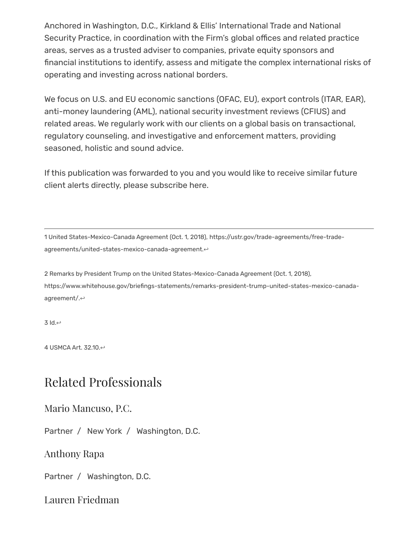Anchored in Washington, D.C., Kirkland & Ellis' [International](https://www.kirkland.com/sitecontent.cfm?contentID=218&itemID=816) Trade and National Security Practice, in [coordination](https://www.kirkland.com/sitecontent.cfm?contentID=183) with the Firm's global offices and related practice areas, serves as a trusted adviser to companies, private equity sponsors and financial institutions to identify, assess and mitigate the complex international risks of operating and investing across national borders.

We focus on U.S. and EU economic sanctions (OFAC, EU), export controls (ITAR, EAR), anti-money laundering (AML), national security investment reviews (CFIUS) and related areas. We regularly work with our clients on a global basis on transactional, regulatory counseling, and investigative and enforcement matters, providing seasoned, holistic and sound advice.

If this publication was forwarded to you and you would like to receive similar future client alerts directly, please [subscribe](mailto:info@kirkland.com) here.

<span id="page-4-0"></span>1 United States-Mexico-Canada Agreement (Oct. 1, 2018), https://ustr.gov/trade-agreements/free-trade[agreements/united-states-mexico-canada-agreement.](https://ustr.gov/trade-agreements/free-trade-agreements/united-states-mexico-canada-agreement) ↔

<span id="page-4-1"></span>2 Remarks by President Trump on the United States-Mexico-Canada Agreement (Oct. 1, 2018), [https://www.whitehouse.gov/briefings-statements/remarks-president-trump-united-states-mexico-canada](https://www.whitehouse.gov/briefings-statements/remarks-president-trump-united-states-mexico-canada-agreement/)agreement/.[↩](#page-0-1)

<span id="page-4-2"></span>3 Id.[↩](#page-0-2)

<span id="page-4-3"></span>4 USMCA Art. 32.10.[↩](#page-3-0)

## Related Professionals

#### Mario [Mancuso,](https://www.kirkland.com/lawyers/m/mancuso-mario-pc) P.C.

Partner / New [York](https://www.kirkland.com/offices/new-york) / [Washington,](https://www.kirkland.com/offices/washington-dc) D.C.

[Anthony](https://www.kirkland.com/lawyers/r/rapa-anthony) Rapa

Partner / [Washington,](https://www.kirkland.com/offices/washington-dc) D.C.

Lauren [Friedman](https://www.kirkland.com/lawyers/f/friedman-lauren)